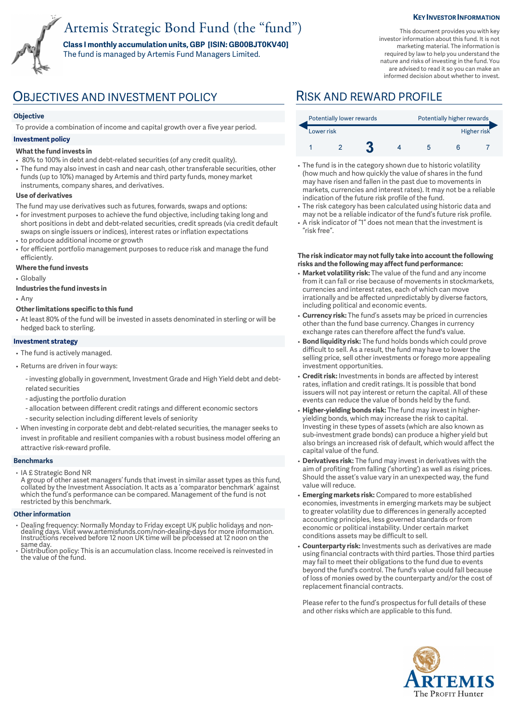# Artemis Strategic Bond Fund (the "fund")

**Class I monthly accumulation units, GBP [ISIN: GB00BJT0KV40]**  The fund is managed by Artemis Fund Managers Limited.

#### **KEY INVESTOR INFORMATION**

This document provides you with key investor information about this fund. It is not marketing material. The information is required by law to help you understand the nature and risks of investing in the fund. You are advised to read it so you can make an informed decision about whether to invest.

## OBJECTIVES AND INVESTMENT POLICY RISK AND REWARD PROFILE

### **Objective**

To provide a combination of income and capital growth over a five year period.

### **Investment policy**

#### **What the fund invests in**

- 80% to 100% in debt and debt-related securities (of any credit quality).
- The fund may also invest in cash and near cash, other transferable securities, other funds (up to 10%) managed by Artemis and third party funds, money market instruments, company shares, and derivatives.

#### **Use of derivatives**

- The fund may use derivatives such as futures, forwards, swaps and options:
- for investment purposes to achieve the fund objective, including taking long and short positions in debt and debt-related securities, credit spreads (via credit default swaps on single issuers or indices), interest rates or inflation expectations • to produce additional income or growth
- for efficient portfolio management purposes to reduce risk and manage the fund efficiently.

### **Where the fund invests**

• Globally

#### **Industries the fund invests in**

• Any

#### **Other limitations specific to this fund**

• At least 80% of the fund will be invested in assets denominated in sterling or will be hedged back to sterling.

#### **Investment strategy**

- The fund is actively managed.
- Returns are driven in four ways:
	- investing globally in government, Investment Grade and High Yield debt and debtrelated securities
	- adjusting the portfolio duration
	- allocation between different credit ratings and different economic sectors
	- security selection including different levels of seniority
- When investing in corporate debt and debt-related securities, the manager seeks to invest in profitable and resilient companies with a robust business model offering an attractive risk-reward profile.

#### **Benchmarks**

• IA £ Strategic Bond NR

A group of other asset managers' funds that invest in similar asset types as this fund, collated by the Investment Association. It acts as a 'comparator benchmark' against which the fund's performance can be compared. Management of the fund is not restricted by this benchmark.

#### **Other information**

- Dealing frequency: Normally Monday to Friday except UK public holidays and non-dealing days. Visit www.artemisfunds.com/non-dealing-days for more information. Instructions received before 12 noon UK time will be processed at 12 noon on the same day.
- Distribution policy: This is an accumulation class. Income received is reinvested in the value of the fund.

| Potentially lower rewards |  |  |  | Potentially higher rewards |  |  |  |
|---------------------------|--|--|--|----------------------------|--|--|--|
| Lower risk                |  |  |  | Higher risk                |  |  |  |
|                           |  |  |  |                            |  |  |  |

- The fund is in the category shown due to historic volatility (how much and how quickly the value of shares in the fund may have risen and fallen in the past due to movements in markets, currencies and interest rates). It may not be a reliable indication of the future risk profile of the fund.
- The risk category has been calculated using historic data and may not be a reliable indicator of the fund's future risk profile. • A risk indicator of "1" does not mean that the investment is
- "risk free".

#### **The risk indicator may not fully take into account the following risks and the following may affect fund performance:**

- **Market volatility risk:** The value of the fund and any income from it can fall or rise because of movements in stockmarkets, currencies and interest rates, each of which can move irrationally and be affected unpredictably by diverse factors, including political and economic events.
- **Currency risk:** The fund's assets may be priced in currencies other than the fund base currency. Changes in currency exchange rates can therefore affect the fund's value.
- **Bond liquidity risk:** The fund holds bonds which could prove difficult to sell. As a result, the fund may have to lower the selling price, sell other investments or forego more appealing investment opportunities.
- **Credit risk:** Investments in bonds are affected by interest rates, inflation and credit ratings. It is possible that bond issuers will not pay interest or return the capital. All of these events can reduce the value of bonds held by the fund.
- **Higher-yielding bonds risk:** The fund may invest in higheryielding bonds, which may increase the risk to capital. Investing in these types of assets (which are also known as sub-investment grade bonds) can produce a higher yield but also brings an increased risk of default, which would affect the capital value of the fund.
- **Derivatives risk:** The fund may invest in derivatives with the aim of profiting from falling ('shorting') as well as rising prices. Should the asset's value vary in an unexpected way, the fund value will reduce.
- **Emerging markets risk:** Compared to more established economies, investments in emerging markets may be subject to greater volatility due to differences in generally accepted accounting principles, less governed standards or from economic or political instability. Under certain market conditions assets may be difficult to sell.
- **Counterparty risk:** Investments such as derivatives are made using financial contracts with third parties. Those third parties may fail to meet their obligations to the fund due to events beyond the fund's control. The fund's value could fall because of loss of monies owed by the counterparty and/or the cost of replacement financial contracts.

Please refer to the fund's prospectus for full details of these and other risks which are applicable to this fund.